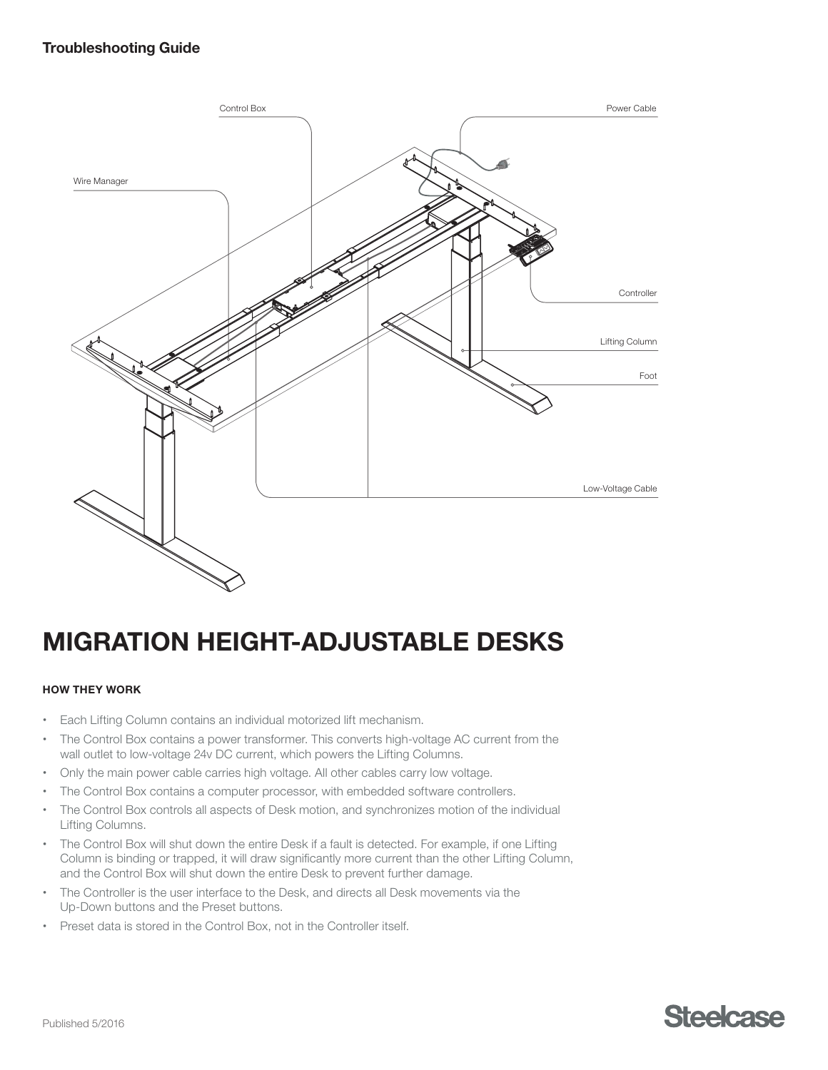

# MIGRATION HEIGHT-ADJUSTABLE DESKS

## HOW THEY WORK

- Each Lifting Column contains an individual motorized lift mechanism.
- The Control Box contains a power transformer. This converts high-voltage AC current from the wall outlet to low-voltage 24v DC current, which powers the Lifting Columns.
- Only the main power cable carries high voltage. All other cables carry low voltage.
- The Control Box contains a computer processor, with embedded software controllers.
- The Control Box controls all aspects of Desk motion, and synchronizes motion of the individual Lifting Columns.
- The Control Box will shut down the entire Desk if a fault is detected. For example, if one Lifting Column is binding or trapped, it will draw significantly more current than the other Lifting Column, and the Control Box will shut down the entire Desk to prevent further damage.
- The Controller is the user interface to the Desk, and directs all Desk movements via the Up-Down buttons and the Preset buttons.
- Preset data is stored in the Control Box, not in the Controller itself.

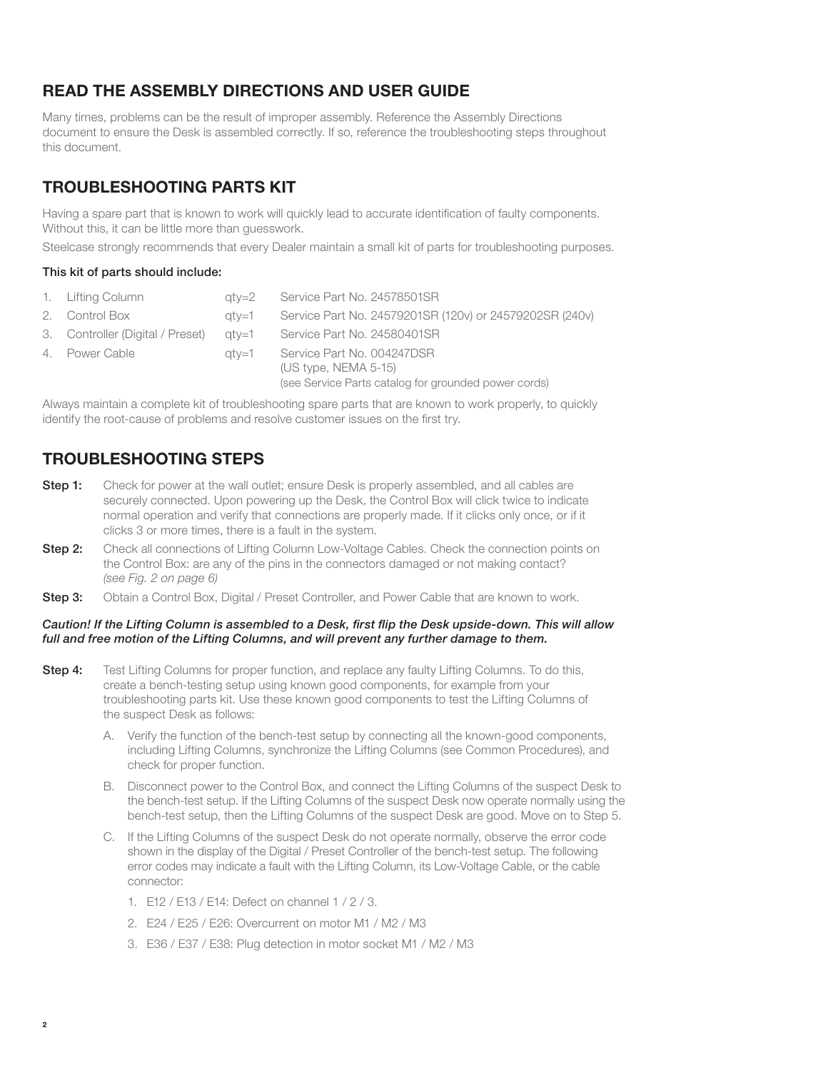# READ THE ASSEMBLY DIRECTIONS AND USER GUIDE

Many times, problems can be the result of improper assembly. Reference the Assembly Directions document to ensure the Desk is assembled correctly. If so, reference the troubleshooting steps throughout this document.

## TROUBLESHOOTING PARTS KIT

Having a spare part that is known to work will quickly lead to accurate identification of faulty components. Without this, it can be little more than guesswork.

Steelcase strongly recommends that every Dealer maintain a small kit of parts for troubleshooting purposes.

#### This kit of parts should include:

| 1. Lifting Column                | atv=2 | Service Part No. 24578501SR                                                                                  |
|----------------------------------|-------|--------------------------------------------------------------------------------------------------------------|
| 2. Control Box                   | atv=1 | Service Part No. 24579201SR (120v) or 24579202SR (240v)                                                      |
| 3. Controller (Digital / Preset) | atv=1 | Service Part No. 24580401SR                                                                                  |
| 4. Power Cable                   | atv=1 | Service Part No. 004247DSR<br>$(US$ type, NEMA 5-15)<br>(see Service Parts catalog for grounded power cords) |

Always maintain a complete kit of troubleshooting spare parts that are known to work properly, to quickly identify the root-cause of problems and resolve customer issues on the first try.

## TROUBLESHOOTING STEPS

- **Step 1:** Check for power at the wall outlet; ensure Desk is properly assembled, and all cables are securely connected. Upon powering up the Desk, the Control Box will click twice to indicate normal operation and verify that connections are properly made. If it clicks only once, or if it clicks 3 or more times, there is a fault in the system.
- Step 2: Check all connections of Lifting Column Low-Voltage Cables. Check the connection points on the Control Box: are any of the pins in the connectors damaged or not making contact? (see Fig. 2 on page 6)
- Step 3: Obtain a Control Box, Digital / Preset Controller, and Power Cable that are known to work.

#### Caution! If the Lifting Column is assembled to a Desk, first flip the Desk upside-down. This will allow full and free motion of the Lifting Columns, and will prevent any further damage to them.

- Step 4: Test Lifting Columns for proper function, and replace any faulty Lifting Columns. To do this, create a bench-testing setup using known good components, for example from your troubleshooting parts kit. Use these known good components to test the Lifting Columns of the suspect Desk as follows:
	- A. Verify the function of the bench-test setup by connecting all the known-good components, including Lifting Columns, synchronize the Lifting Columns (see Common Procedures), and check for proper function.
	- B. Disconnect power to the Control Box, and connect the Lifting Columns of the suspect Desk to the bench-test setup. If the Lifting Columns of the suspect Desk now operate normally using the bench-test setup, then the Lifting Columns of the suspect Desk are good. Move on to Step 5.
	- C. If the Lifting Columns of the suspect Desk do not operate normally, observe the error code shown in the display of the Digital / Preset Controller of the bench-test setup. The following error codes may indicate a fault with the Lifting Column, its Low-Voltage Cable, or the cable connector:
		- 1. E12 / E13 / E14: Defect on channel 1 / 2 / 3.
		- 2. E24 / E25 / E26: Overcurrent on motor M1 / M2 / M3
		- 3. E36 / E37 / E38: Plug detection in motor socket M1 / M2 / M3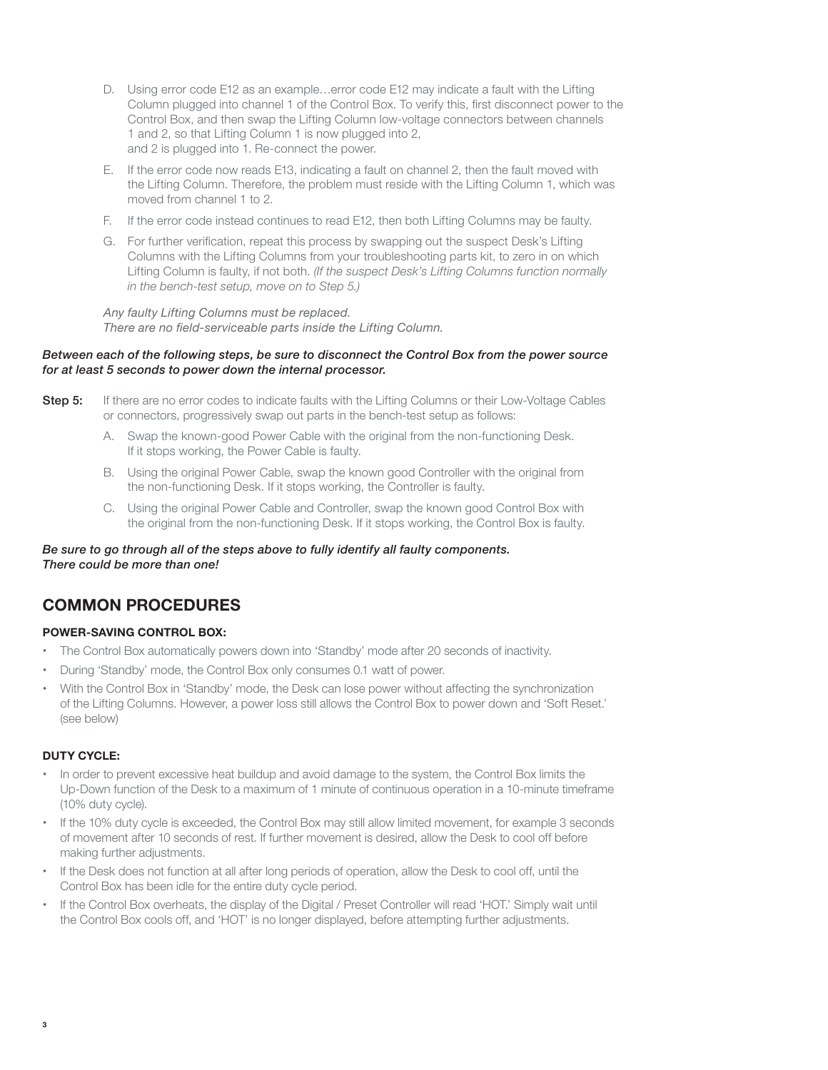- D. Using error code E12 as an example…error code E12 may indicate a fault with the Lifting Column plugged into channel 1 of the Control Box. To verify this, first disconnect power to the Control Box, and then swap the Lifting Column low-voltage connectors between channels 1 and 2, so that Lifting Column 1 is now plugged into 2, and 2 is plugged into 1. Re-connect the power.
- E. If the error code now reads E13, indicating a fault on channel 2, then the fault moved with the Lifting Column. Therefore, the problem must reside with the Lifting Column 1, which was moved from channel 1 to 2.
- F. If the error code instead continues to read E12, then both Lifting Columns may be faulty.
- G. For further verification, repeat this process by swapping out the suspect Desk's Lifting Columns with the Lifting Columns from your troubleshooting parts kit, to zero in on which Lifting Column is faulty, if not both. (If the suspect Desk's Lifting Columns function normally in the bench-test setup, move on to Step 5.)

 Any faulty Lifting Columns must be replaced. There are no field-serviceable parts inside the Lifting Column.

#### Between each of the following steps, be sure to disconnect the Control Box from the power source for at least 5 seconds to power down the internal processor.

- Step 5: If there are no error codes to indicate faults with the Lifting Columns or their Low-Voltage Cables or connectors, progressively swap out parts in the bench-test setup as follows:
	- A. Swap the known-good Power Cable with the original from the non-functioning Desk. If it stops working, the Power Cable is faulty.
	- B. Using the original Power Cable, swap the known good Controller with the original from the non-functioning Desk. If it stops working, the Controller is faulty.
	- C. Using the original Power Cable and Controller, swap the known good Control Box with the original from the non-functioning Desk. If it stops working, the Control Box is faulty.

Be sure to go through all of the steps above to fully identify all faulty components. There could be more than one!

## COMMON PROCEDURES

## POWER-SAVING CONTROL BOX:

- The Control Box automatically powers down into 'Standby' mode after 20 seconds of inactivity.
- During 'Standby' mode, the Control Box only consumes 0.1 watt of power.
- With the Control Box in 'Standby' mode, the Desk can lose power without affecting the synchronization of the Lifting Columns. However, a power loss still allows the Control Box to power down and 'Soft Reset.' (see below)

#### DUTY CYCLE:

- In order to prevent excessive heat buildup and avoid damage to the system, the Control Box limits the Up-Down function of the Desk to a maximum of 1 minute of continuous operation in a 10-minute timeframe (10% duty cycle).
- If the 10% duty cycle is exceeded, the Control Box may still allow limited movement, for example 3 seconds of movement after 10 seconds of rest. If further movement is desired, allow the Desk to cool off before making further adjustments.
- If the Desk does not function at all after long periods of operation, allow the Desk to cool off, until the Control Box has been idle for the entire duty cycle period.
- If the Control Box overheats, the display of the Digital / Preset Controller will read 'HOT.' Simply wait until the Control Box cools off, and 'HOT' is no longer displayed, before attempting further adjustments.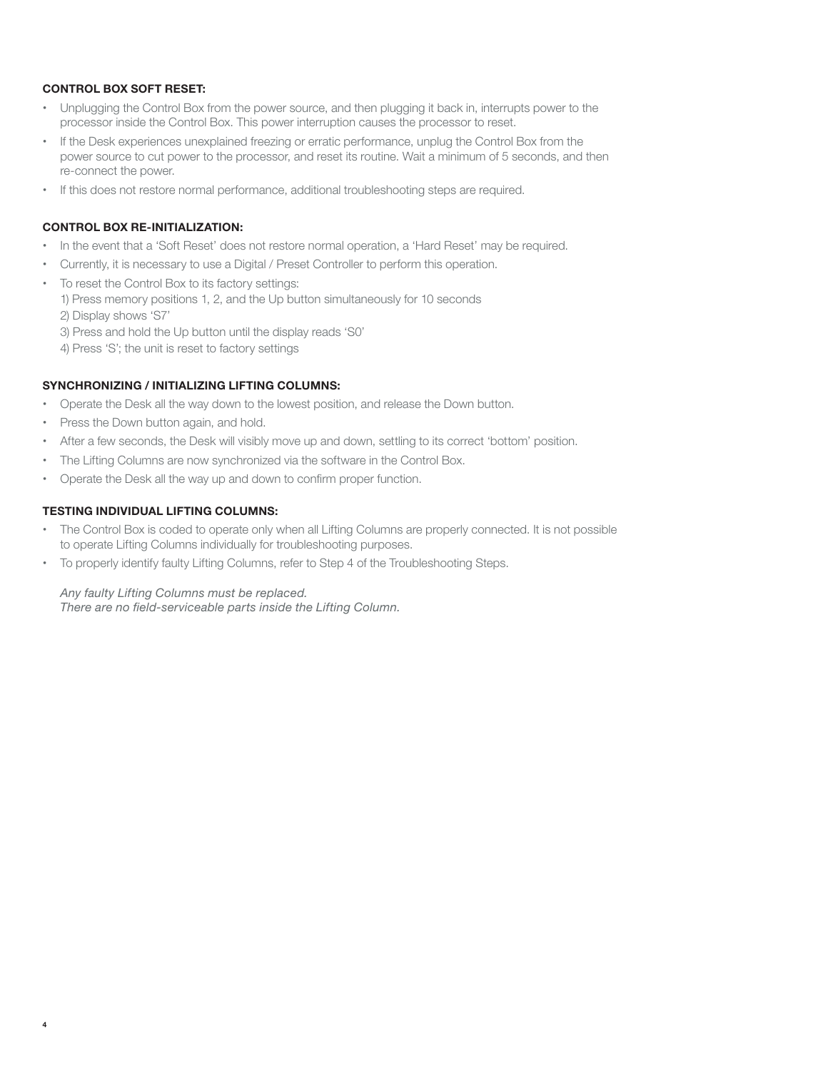## CONTROL BOX SOFT RESET:

- Unplugging the Control Box from the power source, and then plugging it back in, interrupts power to the processor inside the Control Box. This power interruption causes the processor to reset.
- If the Desk experiences unexplained freezing or erratic performance, unplug the Control Box from the power source to cut power to the processor, and reset its routine. Wait a minimum of 5 seconds, and then re-connect the power.
- If this does not restore normal performance, additional troubleshooting steps are required.

## CONTROL BOX RE-INITIALIZATION:

- In the event that a 'Soft Reset' does not restore normal operation, a 'Hard Reset' may be required.
- Currently, it is necessary to use a Digital / Preset Controller to perform this operation.
- To reset the Control Box to its factory settings:
	- 1) Press memory positions 1, 2, and the Up button simultaneously for 10 seconds
	- 2) Display shows 'S7'
	- 3) Press and hold the Up button until the display reads 'S0'
	- 4) Press 'S'; the unit is reset to factory settings

## SYNCHRONIZING / INITIALIZING LIFTING COLUMNS:

- Operate the Desk all the way down to the lowest position, and release the Down button.
- Press the Down button again, and hold.
- After a few seconds, the Desk will visibly move up and down, settling to its correct 'bottom' position.
- The Lifting Columns are now synchronized via the software in the Control Box.
- Operate the Desk all the way up and down to confirm proper function.

## TESTING INDIVIDUAL LIFTING COLUMNS:

- The Control Box is coded to operate only when all Lifting Columns are properly connected. It is not possible to operate Lifting Columns individually for troubleshooting purposes.
- To properly identify faulty Lifting Columns, refer to Step 4 of the Troubleshooting Steps.

## Any faulty Lifting Columns must be replaced.

There are no field-serviceable parts inside the Lifting Column.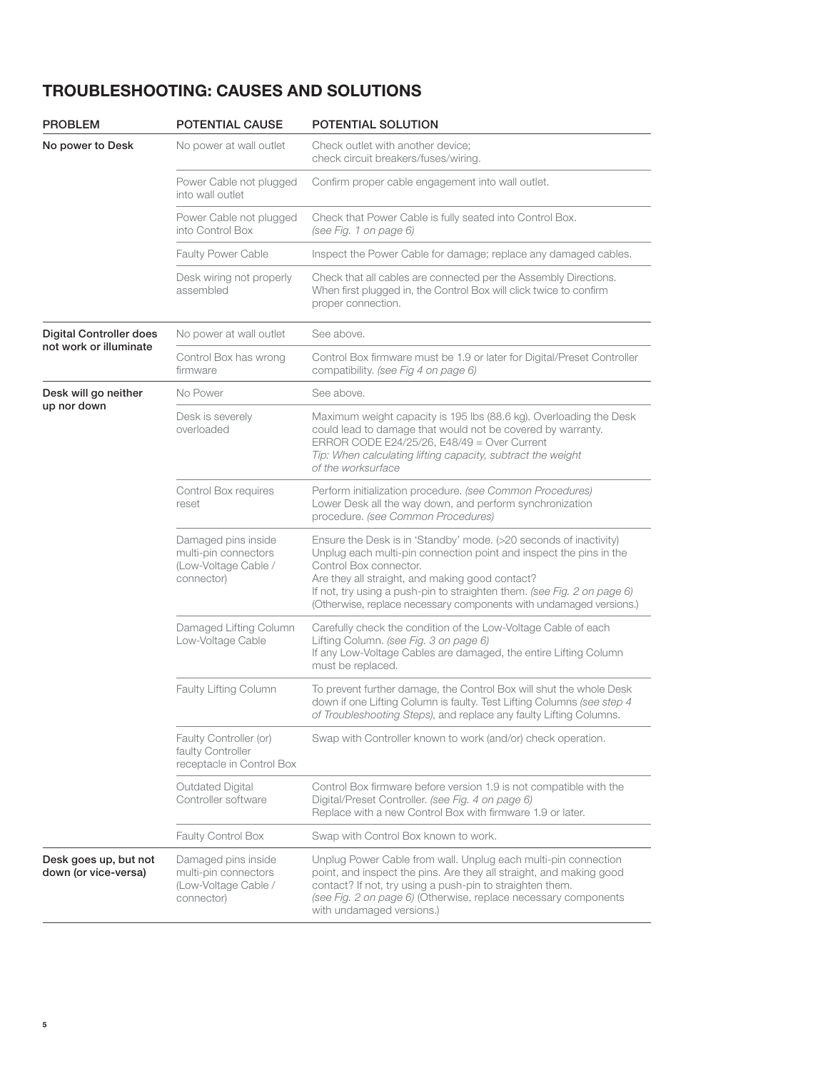# TROUBLESHOOTING: CAUSES AND SOLUTIONS

| <b>PROBLEM</b>                                | <b>POTENTIAL CAUSE</b>                                                            | <b>POTENTIAL SOLUTION</b>                                                                                                                                                                                                                                                                                                                                             |  |
|-----------------------------------------------|-----------------------------------------------------------------------------------|-----------------------------------------------------------------------------------------------------------------------------------------------------------------------------------------------------------------------------------------------------------------------------------------------------------------------------------------------------------------------|--|
| No power to Desk                              | No power at wall outlet                                                           | Check outlet with another device;<br>check circuit breakers/fuses/wiring.                                                                                                                                                                                                                                                                                             |  |
|                                               | Power Cable not plugged<br>into wall outlet                                       | Confirm proper cable engagement into wall outlet.                                                                                                                                                                                                                                                                                                                     |  |
|                                               | Power Cable not plugged<br>into Control Box                                       | Check that Power Cable is fully seated into Control Box.<br>(see Fig. 1 on page 6)                                                                                                                                                                                                                                                                                    |  |
|                                               | <b>Faulty Power Cable</b>                                                         | Inspect the Power Cable for damage; replace any damaged cables.                                                                                                                                                                                                                                                                                                       |  |
|                                               | Desk wiring not properly<br>assembled                                             | Check that all cables are connected per the Assembly Directions.<br>When first plugged in, the Control Box will click twice to confirm<br>proper connection.                                                                                                                                                                                                          |  |
| <b>Digital Controller does</b>                | No power at wall outlet                                                           | See above.                                                                                                                                                                                                                                                                                                                                                            |  |
| not work or illuminate                        | Control Box has wrong<br>firmware                                                 | Control Box firmware must be 1.9 or later for Digital/Preset Controller<br>compatibility. (see Fig 4 on page 6)                                                                                                                                                                                                                                                       |  |
| Desk will go neither                          | No Power                                                                          | See above.                                                                                                                                                                                                                                                                                                                                                            |  |
| up nor down                                   | Desk is severely<br>overloaded                                                    | Maximum weight capacity is 195 lbs (88.6 kg). Overloading the Desk<br>could lead to damage that would not be covered by warranty.<br>ERROR CODE E24/25/26, E48/49 = Over Current<br>Tip: When calculating lifting capacity, subtract the weight<br>of the worksurface                                                                                                 |  |
|                                               | Control Box requires<br>reset                                                     | Perform initialization procedure. (see Common Procedures)<br>Lower Desk all the way down, and perform synchronization<br>procedure. (see Common Procedures)                                                                                                                                                                                                           |  |
|                                               | Damaged pins inside<br>multi-pin connectors<br>(Low-Voltage Cable /<br>connector) | Ensure the Desk is in 'Standby' mode. (>20 seconds of inactivity)<br>Unplug each multi-pin connection point and inspect the pins in the<br>Control Box connector.<br>Are they all straight, and making good contact?<br>If not, try using a push-pin to straighten them. (see Fig. 2 on page 6)<br>(Otherwise, replace necessary components with undamaged versions.) |  |
|                                               | Damaged Lifting Column<br>Low-Voltage Cable                                       | Carefully check the condition of the Low-Voltage Cable of each<br>Lifting Column. (see Fig. 3 on page 6)<br>If any Low-Voltage Cables are damaged, the entire Lifting Column<br>must be replaced.                                                                                                                                                                     |  |
|                                               | <b>Faulty Lifting Column</b>                                                      | To prevent further damage, the Control Box will shut the whole Desk<br>down if one Lifting Column is faulty. Test Lifting Columns (see step 4<br>of Troubleshooting Steps), and replace any faulty Lifting Columns.                                                                                                                                                   |  |
|                                               | Faulty Controller (or)<br>faulty Controller<br>receptacle in Control Box          | Swap with Controller known to work (and/or) check operation.                                                                                                                                                                                                                                                                                                          |  |
|                                               | Outdated Digital<br>Controller software                                           | Control Box firmware before version 1.9 is not compatible with the<br>Digital/Preset Controller. (see Fig. 4 on page 6)<br>Replace with a new Control Box with firmware 1.9 or later.                                                                                                                                                                                 |  |
|                                               | Faulty Control Box                                                                | Swap with Control Box known to work.                                                                                                                                                                                                                                                                                                                                  |  |
| Desk goes up, but not<br>down (or vice-versa) | Damaged pins inside<br>multi-pin connectors<br>(Low-Voltage Cable /<br>connector) | Unplug Power Cable from wall. Unplug each multi-pin connection<br>point, and inspect the pins. Are they all straight, and making good<br>contact? If not, try using a push-pin to straighten them.<br>(see Fig. 2 on page 6) (Otherwise, replace necessary components<br>with undamaged versions.)                                                                    |  |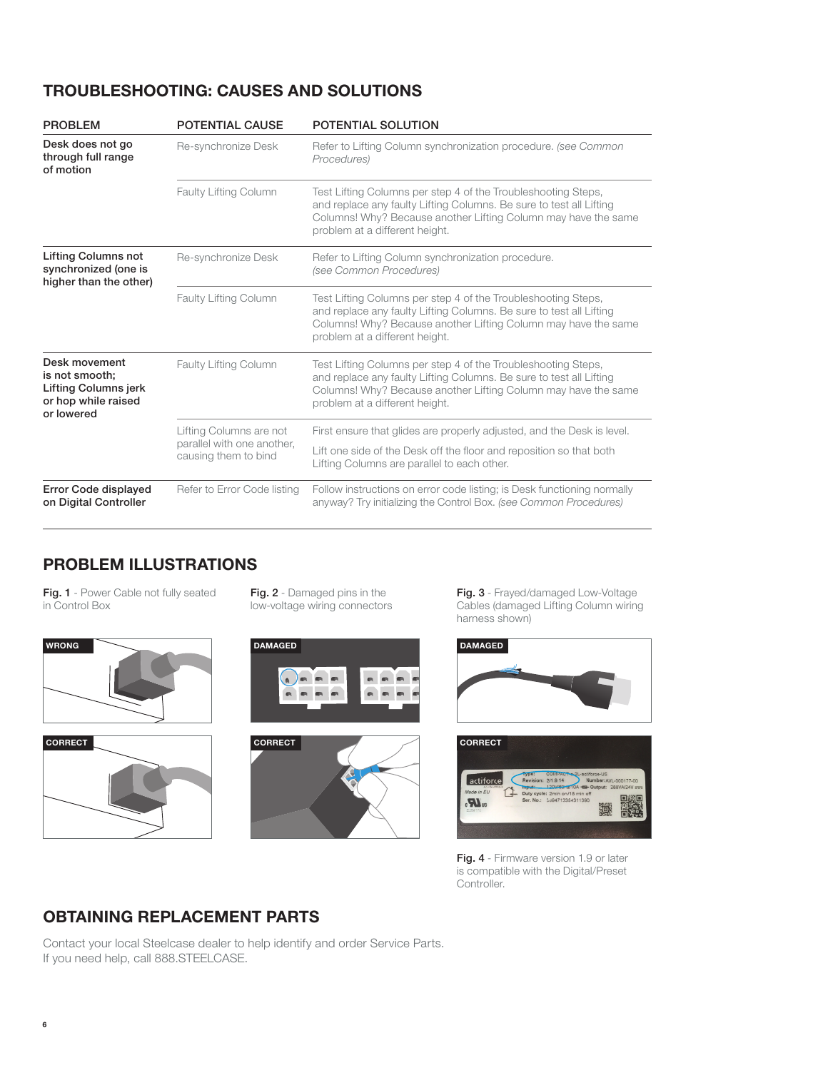# TROUBLESHOOTING: CAUSES AND SOLUTIONS

| <b>PROBLEM</b>                                                                               | <b>POTENTIAL CAUSE</b>                             | POTENTIAL SOLUTION                                                                                                                                                                                                                       |  |
|----------------------------------------------------------------------------------------------|----------------------------------------------------|------------------------------------------------------------------------------------------------------------------------------------------------------------------------------------------------------------------------------------------|--|
| Desk does not go<br>through full range<br>of motion                                          | Re-synchronize Desk                                | Refer to Lifting Column synchronization procedure. (see Common<br>Procedures)                                                                                                                                                            |  |
|                                                                                              | <b>Faulty Lifting Column</b>                       | Test Lifting Columns per step 4 of the Troubleshooting Steps,<br>and replace any faulty Lifting Columns. Be sure to test all Lifting<br>Columns! Why? Because another Lifting Column may have the same<br>problem at a different height. |  |
| <b>Lifting Columns not</b><br>synchronized (one is<br>higher than the other)                 | Re-synchronize Desk                                | Refer to Lifting Column synchronization procedure.<br>(see Common Procedures)                                                                                                                                                            |  |
|                                                                                              | <b>Faulty Lifting Column</b>                       | Test Lifting Columns per step 4 of the Troubleshooting Steps,<br>and replace any faulty Lifting Columns. Be sure to test all Lifting<br>Columns! Why? Because another Lifting Column may have the same<br>problem at a different height. |  |
| Desk movement<br>is not smooth;<br>Lifting Columns jerk<br>or hop while raised<br>or lowered | <b>Faulty Lifting Column</b>                       | Test Lifting Columns per step 4 of the Troubleshooting Steps,<br>and replace any faulty Lifting Columns. Be sure to test all Lifting<br>Columns! Why? Because another Lifting Column may have the same<br>problem at a different height. |  |
|                                                                                              | Lifting Columns are not                            | First ensure that glides are properly adjusted, and the Desk is level.                                                                                                                                                                   |  |
|                                                                                              | parallel with one another,<br>causing them to bind | Lift one side of the Desk off the floor and reposition so that both<br>Lifting Columns are parallel to each other.                                                                                                                       |  |
| Error Code displayed<br>Refer to Error Code listing<br>on Digital Controller                 |                                                    | Follow instructions on error code listing; is Desk functioning normally<br>anyway? Try initializing the Control Box. (see Common Procedures)                                                                                             |  |

## PROBLEM ILLUSTRATIONS

Fig. 1 - Power Cable not fully seated in Control Box





Fig. 2 - Damaged pins in the low-voltage wiring connectors





Fig. 3 - Frayed/damaged Low-Voltage Cables (damaged Lifting Column wiring harness shown)



Fig. 4 - Firmware version 1.9 or later is compatible with the Digital/Preset Controller.

## OBTAINING REPLACEMENT PARTS

Contact your local Steelcase dealer to help identify and order Service Parts. If you need help, call 888.STEELCASE.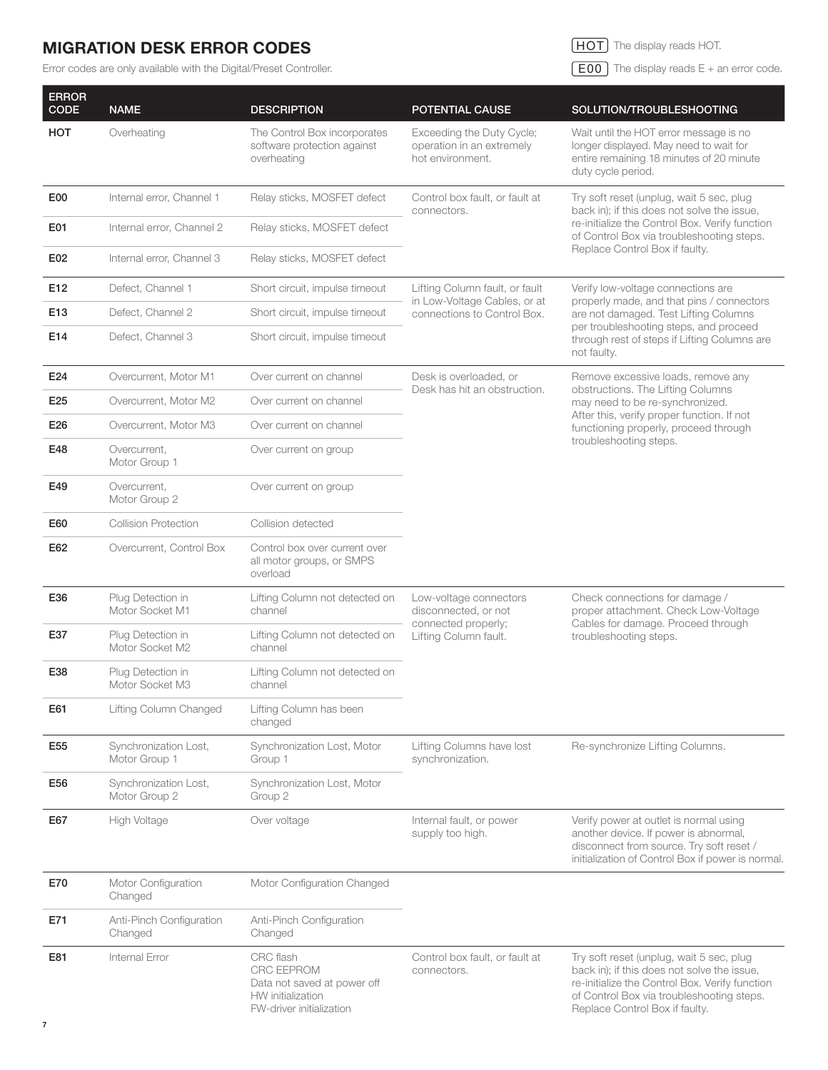# MIGRATION DESK ERROR CODES

Error codes are only available with the Digital/Preset Controller.

**HOT** The display reads HOT.

 $\fbox{E00}$  The display reads E + an error code.

| <b>ERROR</b><br><b>CODE</b> | <b>NAME</b>                                              | <b>DESCRIPTION</b>                                                                                             | POTENTIAL CAUSE                                                            | SOLUTION/TROUBLESHOOTING                                                                                                                                                                                                          |
|-----------------------------|----------------------------------------------------------|----------------------------------------------------------------------------------------------------------------|----------------------------------------------------------------------------|-----------------------------------------------------------------------------------------------------------------------------------------------------------------------------------------------------------------------------------|
| HOT                         | Overheating                                              | The Control Box incorporates<br>software protection against<br>overheating                                     | Exceeding the Duty Cycle;<br>operation in an extremely<br>hot environment. | Wait until the HOT error message is no<br>longer displayed. May need to wait for<br>entire remaining 18 minutes of 20 minute<br>duty cycle period.                                                                                |
| E <sub>0</sub>              | Internal error, Channel 1<br>Relay sticks, MOSFET defect |                                                                                                                | Control box fault, or fault at<br>connectors.                              | Try soft reset (unplug, wait 5 sec, plug<br>back in); if this does not solve the issue,                                                                                                                                           |
| E01                         | Internal error, Channel 2                                | Relay sticks, MOSFET defect                                                                                    |                                                                            | re-initialize the Control Box. Verify function<br>of Control Box via troubleshooting steps.<br>Replace Control Box if faulty.                                                                                                     |
| E02                         | Internal error, Channel 3                                | Relay sticks, MOSFET defect                                                                                    |                                                                            |                                                                                                                                                                                                                                   |
| E12                         | Defect, Channel 1                                        | Short circuit, impulse timeout                                                                                 | Lifting Column fault, or fault                                             | Verify low-voltage connections are<br>properly made, and that pins / connectors<br>are not damaged. Test Lifting Columns<br>per troubleshooting steps, and proceed<br>through rest of steps if Lifting Columns are<br>not faulty. |
| E13                         | Defect, Channel 2                                        | Short circuit, impulse timeout                                                                                 | in Low-Voltage Cables, or at<br>connections to Control Box.                |                                                                                                                                                                                                                                   |
| E14                         | Defect, Channel 3                                        | Short circuit, impulse timeout                                                                                 |                                                                            |                                                                                                                                                                                                                                   |
| E24                         | Overcurrent, Motor M1                                    | Over current on channel                                                                                        | Desk is overloaded, or<br>Desk has hit an obstruction.                     | Remove excessive loads, remove any<br>obstructions. The Lifting Columns<br>may need to be re-synchronized.<br>After this, verify proper function. If not<br>functioning properly, proceed through<br>troubleshooting steps.       |
| E25                         | Overcurrent, Motor M2                                    | Over current on channel                                                                                        |                                                                            |                                                                                                                                                                                                                                   |
| E26                         | Overcurrent, Motor M3                                    | Over current on channel                                                                                        |                                                                            |                                                                                                                                                                                                                                   |
| E48                         | Overcurrent,<br>Motor Group 1                            | Over current on group                                                                                          |                                                                            |                                                                                                                                                                                                                                   |
| E49                         | Overcurrent,<br>Motor Group 2                            | Over current on group                                                                                          |                                                                            |                                                                                                                                                                                                                                   |
| E60                         | <b>Collision Protection</b>                              | Collision detected                                                                                             |                                                                            |                                                                                                                                                                                                                                   |
| E62                         | Overcurrent, Control Box                                 | Control box over current over<br>all motor groups, or SMPS<br>overload                                         |                                                                            |                                                                                                                                                                                                                                   |
| E36                         | Plug Detection in<br>Motor Socket M1                     | Lifting Column not detected on<br>channel                                                                      | Low-voltage connectors<br>disconnected, or not<br>connected properly;      | Check connections for damage /<br>proper attachment. Check Low-Voltage<br>Cables for damage. Proceed through<br>troubleshooting steps.                                                                                            |
| E37                         | Plug Detection in<br>Motor Socket M2                     | Lifting Column not detected on<br>channel                                                                      | Lifting Column fault.                                                      |                                                                                                                                                                                                                                   |
| E38                         | Plug Detection in<br>Motor Socket M3                     | Lifting Column not detected on<br>channel                                                                      |                                                                            |                                                                                                                                                                                                                                   |
| E61                         | Lifting Column Changed                                   | Lifting Column has been<br>changed                                                                             |                                                                            |                                                                                                                                                                                                                                   |
| E55                         | Synchronization Lost,<br>Motor Group 1                   | Synchronization Lost, Motor<br>Group 1                                                                         | Lifting Columns have lost<br>synchronization.                              | Re-synchronize Lifting Columns.                                                                                                                                                                                                   |
| E56                         | Synchronization Lost,<br>Motor Group 2                   | Synchronization Lost, Motor<br>Group 2                                                                         |                                                                            |                                                                                                                                                                                                                                   |
| E67                         | High Voltage                                             | Over voltage                                                                                                   | Internal fault, or power<br>supply too high.                               | Verify power at outlet is normal using<br>another device. If power is abnormal,<br>disconnect from source. Try soft reset /<br>initialization of Control Box if power is normal.                                                  |
| E70                         | Motor Configuration<br>Changed                           | Motor Configuration Changed                                                                                    |                                                                            |                                                                                                                                                                                                                                   |
| E71                         | Anti-Pinch Configuration<br>Changed                      | Anti-Pinch Configuration<br>Changed                                                                            |                                                                            |                                                                                                                                                                                                                                   |
| E81                         | Internal Error                                           | CRC flash<br><b>CRC EEPROM</b><br>Data not saved at power off<br>HW initialization<br>FW-driver initialization | Control box fault, or fault at<br>connectors.                              | Try soft reset (unplug, wait 5 sec, plug<br>back in); if this does not solve the issue,<br>re-initialize the Control Box. Verify function<br>of Control Box via troubleshooting steps.<br>Replace Control Box if faulty.          |